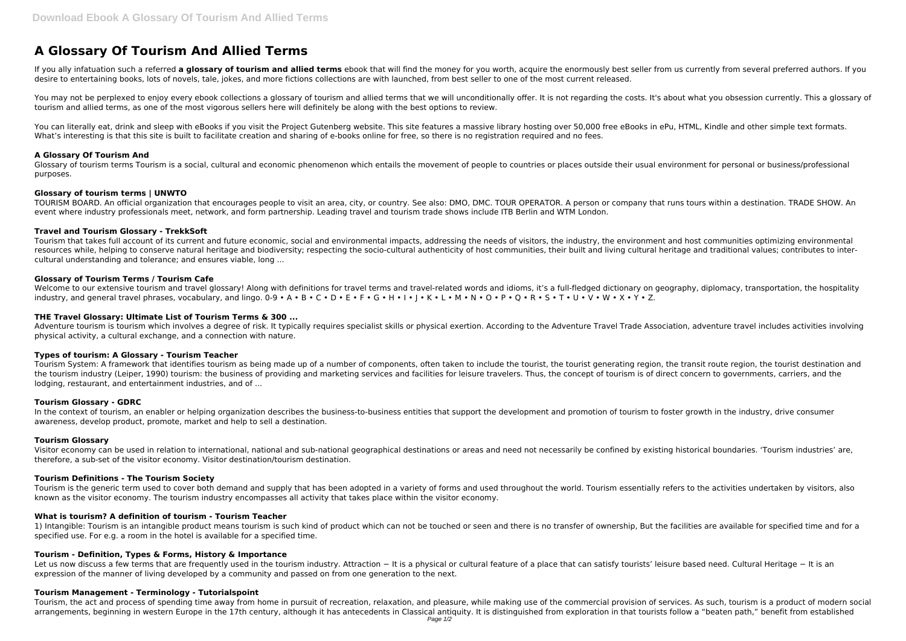# **A Glossary Of Tourism And Allied Terms**

If you ally infatuation such a referred a glossary of tourism and allied terms ebook that will find the money for you worth, acquire the enormously best seller from us currently from several preferred authors. If you desire to entertaining books, lots of novels, tale, jokes, and more fictions collections are with launched, from best seller to one of the most current released.

You may not be perplexed to enjoy every ebook collections a glossary of tourism and allied terms that we will unconditionally offer. It is not regarding the costs. It's about what you obsession currently. This a glossary o tourism and allied terms, as one of the most vigorous sellers here will definitely be along with the best options to review.

You can literally eat, drink and sleep with eBooks if you visit the Project Gutenberg website. This site features a massive library hosting over 50,000 free eBooks in ePu, HTML, Kindle and other simple text formats. What's interesting is that this site is built to facilitate creation and sharing of e-books online for free, so there is no registration required and no fees.

Glossary of tourism terms Tourism is a social, cultural and economic phenomenon which entails the movement of people to countries or places outside their usual environment for personal or business/professional purposes.

## **A Glossary Of Tourism And**

# **Glossary of tourism terms | UNWTO**

TOURISM BOARD. An official organization that encourages people to visit an area, city, or country. See also: DMO, DMC. TOUR OPERATOR. A person or company that runs tours within a destination. TRADE SHOW. An event where industry professionals meet, network, and form partnership. Leading travel and tourism trade shows include ITB Berlin and WTM London.

# **Travel and Tourism Glossary - TrekkSoft**

In the context of tourism, an enabler or helping organization describes the business-to-business entities that support the development and promotion of tourism to foster growth in the industry, drive consumer awareness, develop product, promote, market and help to sell a destination.

Tourism that takes full account of its current and future economic, social and environmental impacts, addressing the needs of visitors, the industry, the environment and host communities optimizing environmental resources while, helping to conserve natural heritage and biodiversity; respecting the socio-cultural authenticity of host communities, their built and living cultural heritage and traditional values; contributes to intercultural understanding and tolerance; and ensures viable, long ...

# **Glossary of Tourism Terms / Tourism Cafe**

Welcome to our extensive tourism and travel glossary! Along with definitions for travel terms and travel-related words and idioms, it's a full-fledged dictionary on geography, diplomacy, transportation, the hospitality industry, and general travel phrases, vocabulary, and lingo. 0-9 • A • B • C • D • E • F • G • H • I • K • L • M • N • O • P • Q • R • S • T • U • V • W • X • Y • Z.

Let us now discuss a few terms that are frequently used in the tourism industry. Attraction − It is a physical or cultural feature of a place that can satisfy tourists' leisure based need. Cultural Heritage − It is an expression of the manner of living developed by a community and passed on from one generation to the next.

# **THE Travel Glossary: Ultimate List of Tourism Terms & 300 ...**

Adventure tourism is tourism which involves a degree of risk. It typically requires specialist skills or physical exertion. According to the Adventure Travel Trade Association, adventure travel includes activities involving physical activity, a cultural exchange, and a connection with nature.

## **Types of tourism: A Glossary - Tourism Teacher**

Tourism System: A framework that identifies tourism as being made up of a number of components, often taken to include the tourist, the tourist generating region, the transit route region, the tourist destination and the tourism industry (Leiper, 1990) tourism: the business of providing and marketing services and facilities for leisure travelers. Thus, the concept of tourism is of direct concern to governments, carriers, and the lodging, restaurant, and entertainment industries, and of ...

## **Tourism Glossary - GDRC**

## **Tourism Glossary**

Visitor economy can be used in relation to international, national and sub-national geographical destinations or areas and need not necessarily be confined by existing historical boundaries. 'Tourism industries' are, therefore, a sub-set of the visitor economy. Visitor destination/tourism destination.

## **Tourism Definitions - The Tourism Society**

Tourism is the generic term used to cover both demand and supply that has been adopted in a variety of forms and used throughout the world. Tourism essentially refers to the activities undertaken by visitors, also known as the visitor economy. The tourism industry encompasses all activity that takes place within the visitor economy.

## **What is tourism? A definition of tourism - Tourism Teacher**

1) Intangible: Tourism is an intangible product means tourism is such kind of product which can not be touched or seen and there is no transfer of ownership, But the facilities are available for specified time and for a specified use. For e.g. a room in the hotel is available for a specified time.

# **Tourism - Definition, Types & Forms, History & Importance**

## **Tourism Management - Terminology - Tutorialspoint**

Tourism, the act and process of spending time away from home in pursuit of recreation, relaxation, and pleasure, while making use of the commercial provision of services. As such, tourism is a product of modern social arrangements, beginning in western Europe in the 17th century, although it has antecedents in Classical antiquity. It is distinguished from exploration in that tourists follow a "beaten path," benefit from established